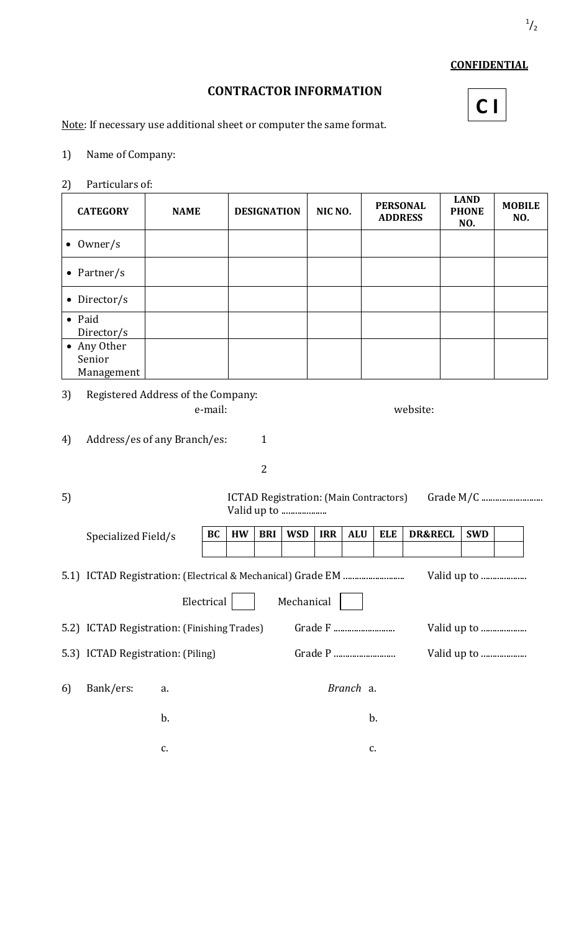## **CONFIDENTIAL**

## **CONTRACTOR INFORMATION**

**C I**

Note: If necessary use additional sheet or computer the same format.

- 1) Name of Company:
- 2) Particulars of:

| <b>CATEGORY</b>                                                 | <b>NAME</b> |    |           | <b>DESIGNATION</b> |            | NIC NO.    |            | <b>PERSONAL</b><br><b>ADDRESS</b> |                    | <b>LAND</b><br><b>PHONE</b><br>NO. | <b>MOBILE</b><br>NO. |  |
|-----------------------------------------------------------------|-------------|----|-----------|--------------------|------------|------------|------------|-----------------------------------|--------------------|------------------------------------|----------------------|--|
| $\bullet$ 0wner/s                                               |             |    |           |                    |            |            |            |                                   |                    |                                    |                      |  |
| • Partner/s                                                     |             |    |           |                    |            |            |            |                                   |                    |                                    |                      |  |
| Director/s<br>$\bullet$                                         |             |    |           |                    |            |            |            |                                   |                    |                                    |                      |  |
| • Paid<br>Director/s                                            |             |    |           |                    |            |            |            |                                   |                    |                                    |                      |  |
| • Any Other<br>Senior<br>Management                             |             |    |           |                    |            |            |            |                                   |                    |                                    |                      |  |
| Registered Address of the Company:<br>3)<br>website:<br>e-mail: |             |    |           |                    |            |            |            |                                   |                    |                                    |                      |  |
| $\mathbf{1}$<br>Address/es of any Branch/es:<br>4)              |             |    |           |                    |            |            |            |                                   |                    |                                    |                      |  |
|                                                                 |             |    |           | $\overline{2}$     |            |            |            |                                   |                    |                                    |                      |  |
| 5)<br>ICTAD Registration: (Main Contractors)<br>Valid up to     |             |    |           |                    |            |            |            |                                   |                    |                                    |                      |  |
| Specialized Field/s                                             |             | BC | <b>HW</b> | <b>BRI</b>         | <b>WSD</b> | <b>IRR</b> | <b>ALU</b> | <b>ELE</b>                        | <b>DR&amp;RECL</b> | <b>SWD</b>                         |                      |  |
|                                                                 |             |    |           |                    |            |            |            |                                   |                    |                                    |                      |  |

Electrical Mechanical

6) Bank/ers: a. *Branch* a.

5.2) ICTAD Registration: (Finishing Trades) Grade F ........................... Valid up to ....................

5.3) ICTAD Registration: (Piling) Grade P ........................... Valid up to ....................

 $b.$  b.

 $c.$  c.

|--|--|